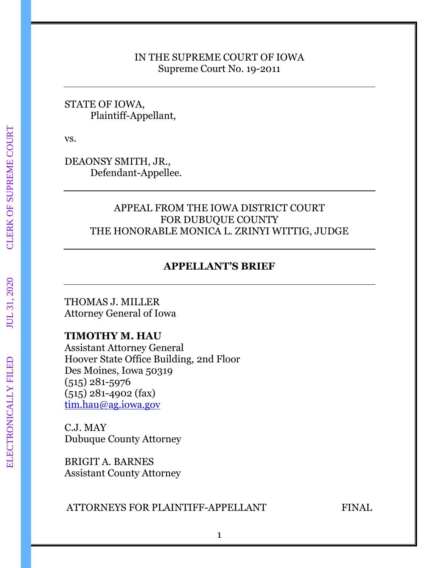### IN THE SUPREME COURT OF IOWA Supreme Court No. 19-2011

## STATE OF IOWA, Plaintiff-Appellant,

vs.

DEAONSY SMITH, JR., Defendant-Appellee.

# APPEAL FROM THE IOWA DISTRICT COURT FOR DUBUQUE COUNTY THE HONORABLE MONICA L. ZRINYI WITTIG, JUDGE

# **APPELLANT'S BRIEF**

THOMAS J. MILLER Attorney General of Iowa

# **TIMOTHY M. HAU**

Assistant Attorney General Hoover State Office Building, 2nd Floor Des Moines, Iowa 50319 (515) 281-5976 (515) 281-4902 (fax) [tim.hau@ag.iowa.gov](mailto:tim.hau@ag.iowa.gov)

C.J. MAY Dubuque County Attorney

BRIGIT A. BARNES Assistant County Attorney

# ATTORNEYS FOR PLAINTIFF-APPELLANT FINAL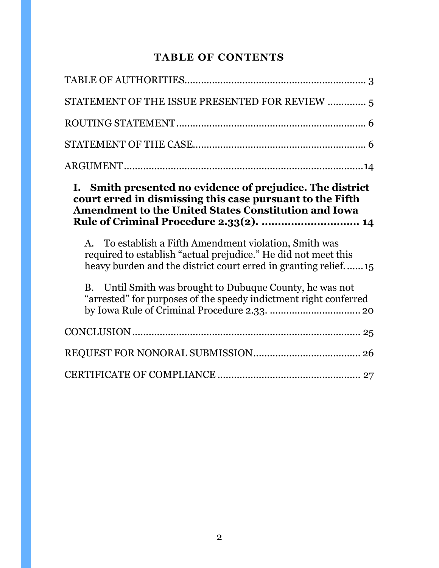# **TABLE OF CONTENTS**

| STATEMENT OF THE ISSUE PRESENTED FOR REVIEW  5                                                                                                                                             |
|--------------------------------------------------------------------------------------------------------------------------------------------------------------------------------------------|
|                                                                                                                                                                                            |
|                                                                                                                                                                                            |
|                                                                                                                                                                                            |
| I. Smith presented no evidence of prejudice. The district<br>court erred in dismissing this case pursuant to the Fifth<br><b>Amendment to the United States Constitution and Iowa</b>      |
| Rule of Criminal Procedure 2.33(2).  14                                                                                                                                                    |
| A. To establish a Fifth Amendment violation, Smith was<br>required to establish "actual prejudice." He did not meet this<br>heavy burden and the district court erred in granting relief15 |
| B. Until Smith was brought to Dubuque County, he was not<br>"arrested" for purposes of the speedy indictment right conferred                                                               |
|                                                                                                                                                                                            |
|                                                                                                                                                                                            |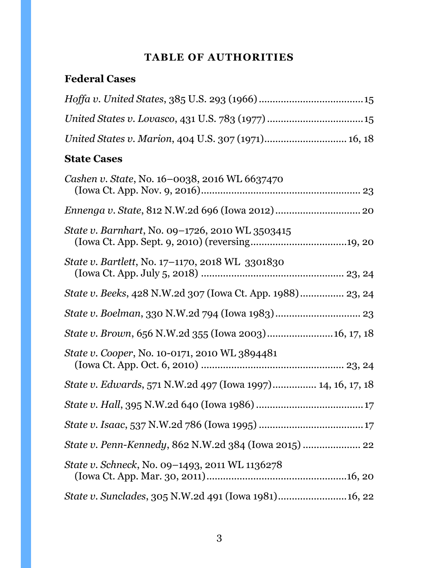# **TABLE OF AUTHORITIES**

# <span id="page-2-0"></span>**Federal Cases**

| United States v. Lovasco, 431 U.S. 783 (1977) 15                    |
|---------------------------------------------------------------------|
| United States v. Marion, 404 U.S. 307 (1971) 16, 18                 |
| <b>State Cases</b>                                                  |
| Cashen v. State, No. 16-0038, 2016 WL 6637470                       |
|                                                                     |
| State v. Barnhart, No. 09-1726, 2010 WL 3503415                     |
| State v. Bartlett, No. 17-1170, 2018 WL 3301830                     |
| <i>State v. Beeks, 428 N.W.2d 307 (Iowa Ct. App. 1988)</i> 23, 24   |
|                                                                     |
| State v. Brown, 656 N.W.2d 355 (Iowa 2003) 16, 17, 18               |
| <i>State v. Cooper, No. 10-0171, 2010 WL 3894481</i>                |
| <i>State v. Edwards</i> , 571 N.W.2d 497 (Iowa 1997) 14, 16, 17, 18 |
|                                                                     |
|                                                                     |
| State v. Penn-Kennedy, 862 N.W.2d 384 (Iowa 2015)  22               |
| State v. Schneck, No. 09-1493, 2011 WL 1136278                      |
| State v. Sunclades, 305 N.W.2d 491 (Iowa 1981) 16, 22               |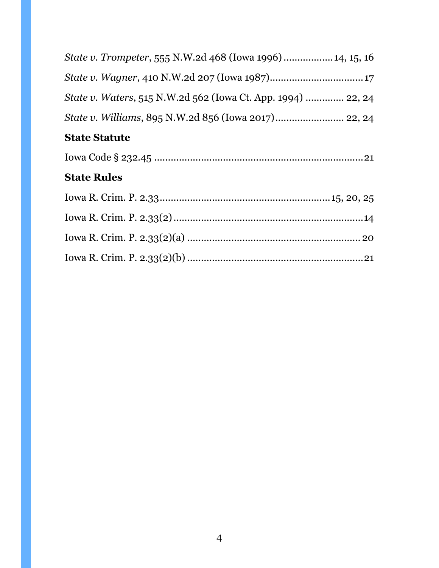| <b>State Rules</b>                                                   |
|----------------------------------------------------------------------|
|                                                                      |
| <b>State Statute</b>                                                 |
|                                                                      |
| <i>State v. Waters</i> , 515 N.W.2d 562 (Iowa Ct. App. 1994)  22, 24 |
|                                                                      |
| State v. Trompeter, 555 N.W.2d 468 (Iowa 1996)  14, 15, 16           |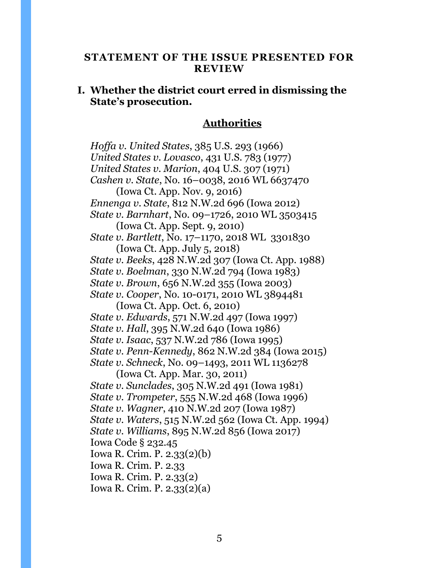#### <span id="page-4-0"></span>**STATEMENT OF THE ISSUE PRESENTED FOR REVIEW**

## **I. Whether the district court erred in dismissing the State's prosecution.**

#### **Authorities**

*Hoffa v. United States*, 385 U.S. 293 (1966) *United States v. Lovasco*, 431 U.S. 783 (1977) *United States v. Marion*, 404 U.S. 307 (1971) *Cashen v. State*, No. 16–0038, 2016 WL 6637470 (Iowa Ct. App. Nov. 9, 2016) *Ennenga v. State*, 812 N.W.2d 696 (Iowa 2012) *State v. Barnhart*, No. 09–1726, 2010 WL 3503415 (Iowa Ct. App. Sept. 9, 2010) *State v. Bartlett*, No. 17–1170, 2018 WL 3301830 (Iowa Ct. App. July 5, 2018) *State v. Beeks*, 428 N.W.2d 307 (Iowa Ct. App. 1988) *State v. Boelman*, 330 N.W.2d 794 (Iowa 1983) *State v. Brown*, 656 N.W.2d 355 (Iowa 2003) *State v. Cooper*, No. 10-0171, 2010 WL 3894481 (Iowa Ct. App. Oct. 6, 2010) *State v. Edwards*, 571 N.W.2d 497 (Iowa 1997) *State v. Hall*, 395 N.W.2d 640 (Iowa 1986) *State v. Isaac*, 537 N.W.2d 786 (Iowa 1995) *State v. Penn-Kennedy*, 862 N.W.2d 384 (Iowa 2015) *State v. Schneck*, No. 09–1493, 2011 WL 1136278 (Iowa Ct. App. Mar. 30, 2011) *State v. Sunclades*, 305 N.W.2d 491 (Iowa 1981) *State v. Trompeter*, 555 N.W.2d 468 (Iowa 1996) *State v. Wagner*, 410 N.W.2d 207 (Iowa 1987) *State v. Waters*, 515 N.W.2d 562 (Iowa Ct. App. 1994) *State v. Williams*, 895 N.W.2d 856 (Iowa 2017) Iowa Code § 232.45 Iowa R. Crim. P. 2.33(2)(b) Iowa R. Crim. P. 2.33 Iowa R. Crim. P. 2.33(2) Iowa R. Crim. P. 2.33(2)(a)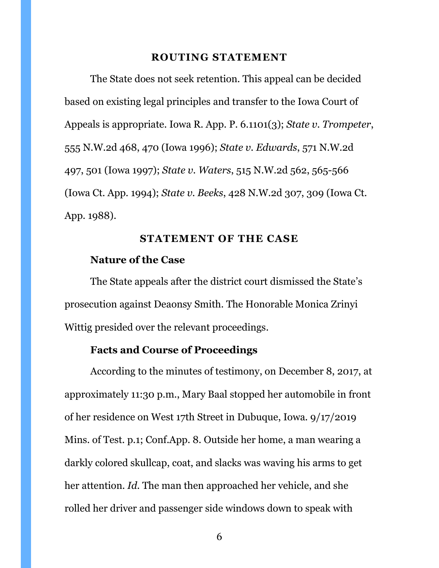#### **ROUTING STATEMENT**

<span id="page-5-0"></span>The State does not seek retention. This appeal can be decided based on existing legal principles and transfer to the Iowa Court of Appeals is appropriate. Iowa R. App. P. 6.1101(3); *State v. Trompeter*, 555 N.W.2d 468, 470 (Iowa 1996); *State v. Edwards*, 571 N.W.2d 497, 501 (Iowa 1997); *State v. Waters*, 515 N.W.2d 562, 565-566 (Iowa Ct. App. 1994); *State v. Beeks*, 428 N.W.2d 307, 309 (Iowa Ct. App. 1988).

#### **STATEMENT OF THE CASE**

#### <span id="page-5-1"></span>**Nature of the Case**

The State appeals after the district court dismissed the State's prosecution against Deaonsy Smith. The Honorable Monica Zrinyi Wittig presided over the relevant proceedings.

# **Facts and Course of Proceedings**

According to the minutes of testimony, on December 8, 2017, at approximately 11:30 p.m., Mary Baal stopped her automobile in front of her residence on West 17th Street in Dubuque, Iowa. 9/17/2019 Mins. of Test. p.1; Conf.App. 8. Outside her home, a man wearing a darkly colored skullcap, coat, and slacks was waving his arms to get her attention. *Id.* The man then approached her vehicle, and she rolled her driver and passenger side windows down to speak with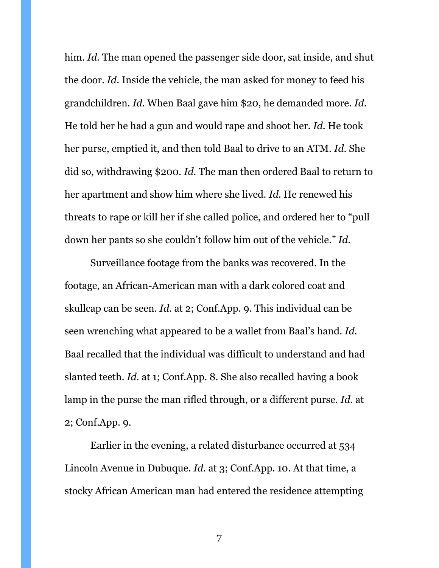him. *Id.* The man opened the passenger side door, sat inside, and shut the door. *Id.* Inside the vehicle, the man asked for money to feed his grandchildren. *Id*. When Baal gave him \$20, he demanded more. *Id.*  He told her he had a gun and would rape and shoot her. *Id.* He took her purse, emptied it, and then told Baal to drive to an ATM. *Id.* She did so, withdrawing \$200. *Id.* The man then ordered Baal to return to her apartment and show him where she lived. *Id.* He renewed his threats to rape or kill her if she called police, and ordered her to "pull down her pants so she couldn't follow him out of the vehicle." *Id.*

Surveillance footage from the banks was recovered. In the footage, an African-American man with a dark colored coat and skullcap can be seen. *Id.* at 2; Conf.App. 9. This individual can be seen wrenching what appeared to be a wallet from Baal's hand. *Id.*  Baal recalled that the individual was difficult to understand and had slanted teeth. *Id.* at 1; Conf.App. 8. She also recalled having a book lamp in the purse the man rifled through, or a different purse. *Id.* at 2; Conf.App. 9.

Earlier in the evening, a related disturbance occurred at 534 Lincoln Avenue in Dubuque. *Id.* at 3; Conf.App. 10. At that time, a stocky African American man had entered the residence attempting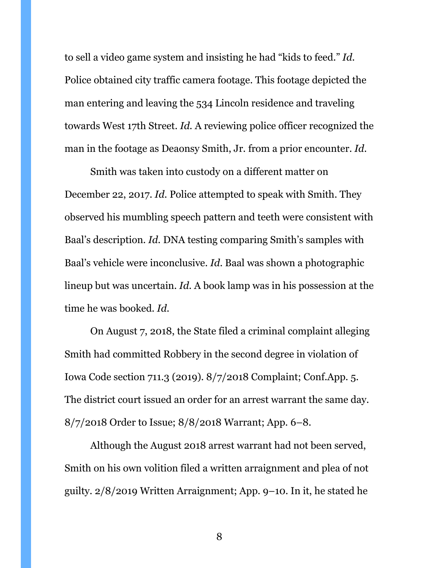to sell a video game system and insisting he had "kids to feed." *Id.* Police obtained city traffic camera footage. This footage depicted the man entering and leaving the 534 Lincoln residence and traveling towards West 17th Street. *Id.* A reviewing police officer recognized the man in the footage as Deaonsy Smith, Jr. from a prior encounter. *Id.* 

Smith was taken into custody on a different matter on December 22, 2017. *Id.* Police attempted to speak with Smith. They observed his mumbling speech pattern and teeth were consistent with Baal's description. *Id.* DNA testing comparing Smith's samples with Baal's vehicle were inconclusive. *Id.* Baal was shown a photographic lineup but was uncertain. *Id.* A book lamp was in his possession at the time he was booked. *Id.*

On August 7, 2018, the State filed a criminal complaint alleging Smith had committed Robbery in the second degree in violation of Iowa Code section 711.3 (2019). 8/7/2018 Complaint; Conf.App. 5. The district court issued an order for an arrest warrant the same day. 8/7/2018 Order to Issue; 8/8/2018 Warrant; App. 6–8.

Although the August 2018 arrest warrant had not been served, Smith on his own volition filed a written arraignment and plea of not guilty. 2/8/2019 Written Arraignment; App. 9–10. In it, he stated he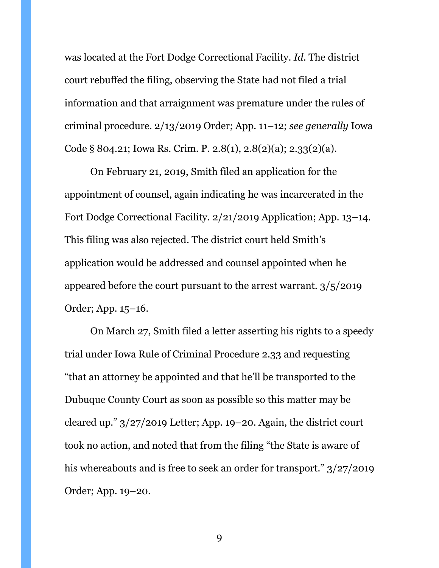was located at the Fort Dodge Correctional Facility. *Id.* The district court rebuffed the filing, observing the State had not filed a trial information and that arraignment was premature under the rules of criminal procedure. 2/13/2019 Order; App. 11–12; *see generally* Iowa Code § 804.21; Iowa Rs. Crim. P. 2.8(1), 2.8(2)(a); 2.33(2)(a).

On February 21, 2019, Smith filed an application for the appointment of counsel, again indicating he was incarcerated in the Fort Dodge Correctional Facility. 2/21/2019 Application; App. 13–14. This filing was also rejected. The district court held Smith's application would be addressed and counsel appointed when he appeared before the court pursuant to the arrest warrant. 3/5/2019 Order; App. 15–16.

On March 27, Smith filed a letter asserting his rights to a speedy trial under Iowa Rule of Criminal Procedure 2.33 and requesting "that an attorney be appointed and that he'll be transported to the Dubuque County Court as soon as possible so this matter may be cleared up." 3/27/2019 Letter; App. 19–20. Again, the district court took no action, and noted that from the filing "the State is aware of his whereabouts and is free to seek an order for transport." 3/27/2019 Order; App. 19–20.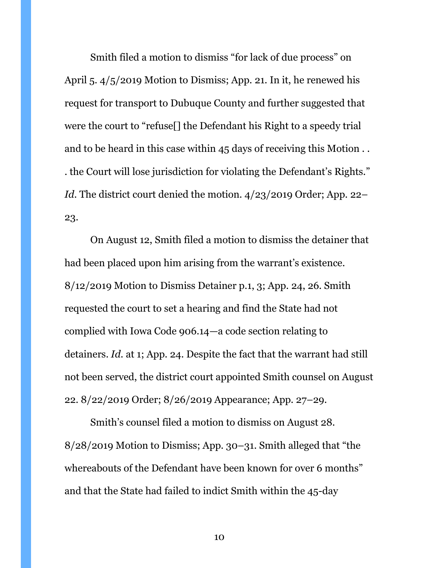Smith filed a motion to dismiss "for lack of due process" on April 5. 4/5/2019 Motion to Dismiss; App. 21. In it, he renewed his request for transport to Dubuque County and further suggested that were the court to "refuse[] the Defendant his Right to a speedy trial and to be heard in this case within 45 days of receiving this Motion . . . the Court will lose jurisdiction for violating the Defendant's Rights." *Id*. The district court denied the motion. 4/23/2019 Order; App. 22– 23.

On August 12, Smith filed a motion to dismiss the detainer that had been placed upon him arising from the warrant's existence. 8/12/2019 Motion to Dismiss Detainer p.1, 3; App. 24, 26. Smith requested the court to set a hearing and find the State had not complied with Iowa Code 906.14—a code section relating to detainers. *Id.* at 1; App. 24. Despite the fact that the warrant had still not been served, the district court appointed Smith counsel on August 22. 8/22/2019 Order; 8/26/2019 Appearance; App. 27–29.

Smith's counsel filed a motion to dismiss on August 28. 8/28/2019 Motion to Dismiss; App. 30–31. Smith alleged that "the whereabouts of the Defendant have been known for over 6 months" and that the State had failed to indict Smith within the 45-day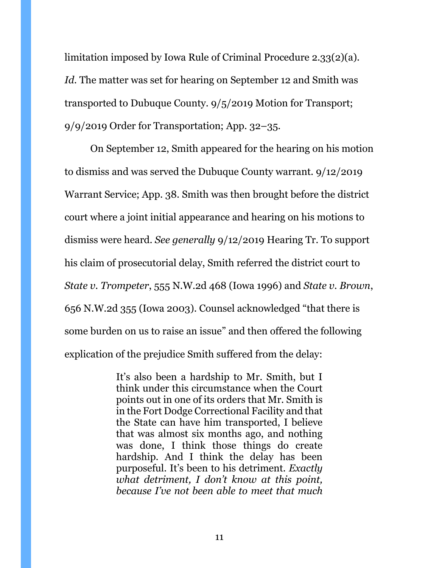limitation imposed by Iowa Rule of Criminal Procedure 2.33(2)(a). *Id.* The matter was set for hearing on September 12 and Smith was transported to Dubuque County. 9/5/2019 Motion for Transport; 9/9/2019 Order for Transportation; App. 32–35.

On September 12, Smith appeared for the hearing on his motion to dismiss and was served the Dubuque County warrant. 9/12/2019 Warrant Service; App. 38. Smith was then brought before the district court where a joint initial appearance and hearing on his motions to dismiss were heard. *See generally* 9/12/2019 Hearing Tr. To support his claim of prosecutorial delay, Smith referred the district court to *State v. Trompeter*, 555 N.W.2d 468 (Iowa 1996) and *State v. Brown*, 656 N.W.2d 355 (Iowa 2003). Counsel acknowledged "that there is some burden on us to raise an issue" and then offered the following explication of the prejudice Smith suffered from the delay:

> It's also been a hardship to Mr. Smith, but I think under this circumstance when the Court points out in one of its orders that Mr. Smith is in the Fort Dodge Correctional Facility and that the State can have him transported, I believe that was almost six months ago, and nothing was done, I think those things do create hardship. And I think the delay has been purposeful. It's been to his detriment. *Exactly what detriment, I don't know at this point, because I've not been able to meet that much*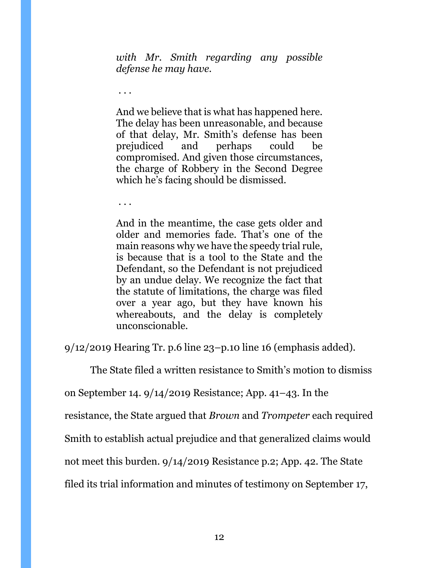*with Mr. Smith regarding any possible defense he may have.*

And we believe that is what has happened here. The delay has been unreasonable, and because of that delay, Mr. Smith's defense has been prejudiced and perhaps could be compromised. And given those circumstances, the charge of Robbery in the Second Degree which he's facing should be dismissed.

. . .

. . .

And in the meantime, the case gets older and older and memories fade. That's one of the main reasons why we have the speedy trial rule, is because that is a tool to the State and the Defendant, so the Defendant is not prejudiced by an undue delay. We recognize the fact that the statute of limitations, the charge was filed over a year ago, but they have known his whereabouts, and the delay is completely unconscionable.

9/12/2019 Hearing Tr. p.6 line 23–p.10 line 16 (emphasis added).

The State filed a written resistance to Smith's motion to dismiss

on September 14. 9/14/2019 Resistance; App. 41–43. In the

resistance, the State argued that *Brown* and *Trompeter* each required

Smith to establish actual prejudice and that generalized claims would

not meet this burden. 9/14/2019 Resistance p.2; App. 42. The State

filed its trial information and minutes of testimony on September 17,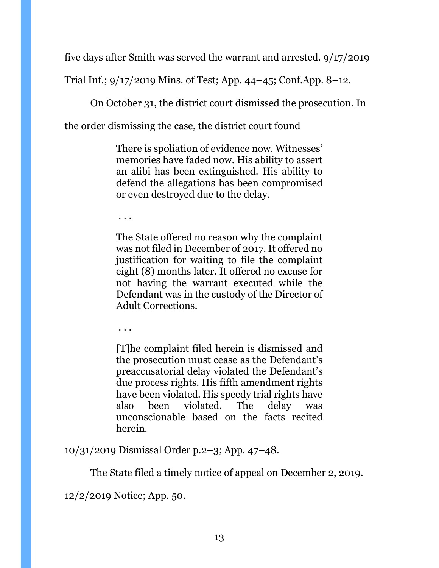five days after Smith was served the warrant and arrested. 9/17/2019

Trial Inf.; 9/17/2019 Mins. of Test; App. 44–45; Conf.App. 8–12.

On October 31, the district court dismissed the prosecution. In

the order dismissing the case, the district court found

There is spoliation of evidence now. Witnesses' memories have faded now. His ability to assert an alibi has been extinguished. His ability to defend the allegations has been compromised or even destroyed due to the delay.

. . .

The State offered no reason why the complaint was not filed in December of 2017. It offered no justification for waiting to file the complaint eight (8) months later. It offered no excuse for not having the warrant executed while the Defendant was in the custody of the Director of Adult Corrections.

. . .

[T]he complaint filed herein is dismissed and the prosecution must cease as the Defendant's preaccusatorial delay violated the Defendant's due process rights. His fifth amendment rights have been violated. His speedy trial rights have also been violated. The delay was unconscionable based on the facts recited herein.

10/31/2019 Dismissal Order p.2–3; App. 47–48.

The State filed a timely notice of appeal on December 2, 2019.

12/2/2019 Notice; App. 50.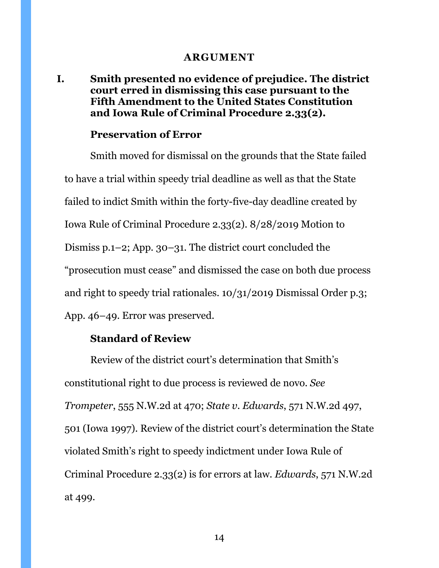#### **ARGUMENT**

<span id="page-13-1"></span><span id="page-13-0"></span>**I. Smith presented no evidence of prejudice. The district court erred in dismissing this case pursuant to the Fifth Amendment to the United States Constitution and Iowa Rule of Criminal Procedure 2.33(2).**

#### **Preservation of Error**

Smith moved for dismissal on the grounds that the State failed to have a trial within speedy trial deadline as well as that the State failed to indict Smith within the forty-five-day deadline created by Iowa Rule of Criminal Procedure 2.33(2). 8/28/2019 Motion to Dismiss p.1–2; App. 30–31. The district court concluded the "prosecution must cease" and dismissed the case on both due process and right to speedy trial rationales. 10/31/2019 Dismissal Order p.3; App. 46–49. Error was preserved.

#### **Standard of Review**

Review of the district court's determination that Smith's constitutional right to due process is reviewed de novo. *See Trompeter*, 555 N.W.2d at 470; *State v. Edwards*, 571 N.W.2d 497, 501 (Iowa 1997). Review of the district court's determination the State violated Smith's right to speedy indictment under Iowa Rule of Criminal Procedure 2.33(2) is for errors at law. *Edwards*, 571 N.W.2d at 499.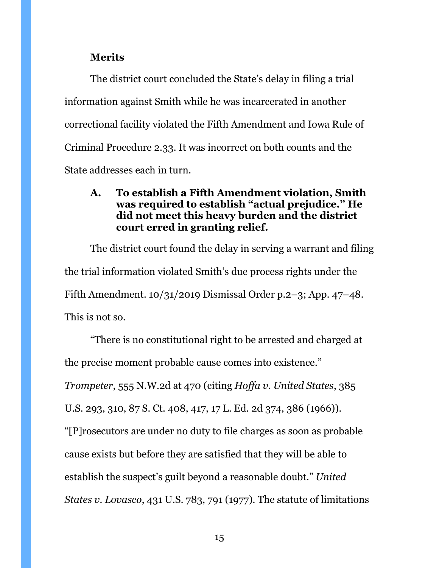### **Merits**

The district court concluded the State's delay in filing a trial information against Smith while he was incarcerated in another correctional facility violated the Fifth Amendment and Iowa Rule of Criminal Procedure 2.33. It was incorrect on both counts and the State addresses each in turn.

## <span id="page-14-0"></span>**A. To establish a Fifth Amendment violation, Smith was required to establish "actual prejudice." He did not meet this heavy burden and the district court erred in granting relief.**

The district court found the delay in serving a warrant and filing the trial information violated Smith's due process rights under the Fifth Amendment. 10/31/2019 Dismissal Order p.2–3; App. 47–48. This is not so.

"There is no constitutional right to be arrested and charged at the precise moment probable cause comes into existence." *Trompeter*, 555 N.W.2d at 470 (citing *Hoffa v. United States*, 385 U.S. 293, 310, 87 S. Ct. 408, 417, 17 L. Ed. 2d 374, 386 (1966)). "[P]rosecutors are under no duty to file charges as soon as probable cause exists but before they are satisfied that they will be able to establish the suspect's guilt beyond a reasonable doubt." *United States v. Lovasco*, 431 U.S. 783, 791 (1977). The statute of limitations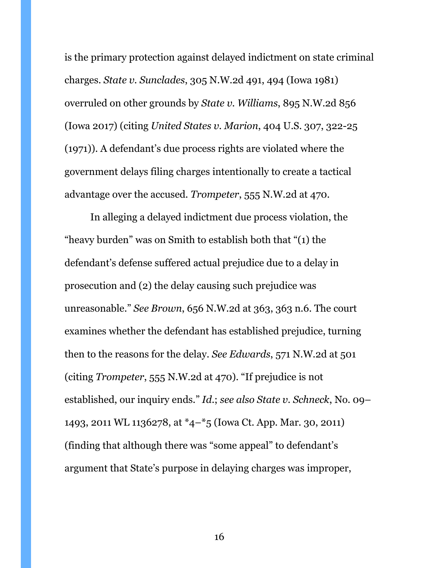is the primary protection against delayed indictment on state criminal charges. *State v. Sunclades*, 305 N.W.2d 491, 494 (Iowa 1981) overruled on other grounds by *State v. Williams*, 895 N.W.2d 856 (Iowa 2017) (citing *United States v. Marion*, 404 U.S. 307, 322-25 (1971)). A defendant's due process rights are violated where the government delays filing charges intentionally to create a tactical advantage over the accused. *Trompeter*, 555 N.W.2d at 470.

In alleging a delayed indictment due process violation, the "heavy burden" was on Smith to establish both that "(1) the defendant's defense suffered actual prejudice due to a delay in prosecution and (2) the delay causing such prejudice was unreasonable." *See Brown*, 656 N.W.2d at 363, 363 n.6. The court examines whether the defendant has established prejudice, turning then to the reasons for the delay. *See Edwards*, 571 N.W.2d at 501 (citing *Trompeter*, 555 N.W.2d at 470). "If prejudice is not established, our inquiry ends." *Id*.; *see also State v. Schneck*, No. 09– 1493, 2011 WL 1136278, at \*4–\*5 (Iowa Ct. App. Mar. 30, 2011) (finding that although there was "some appeal" to defendant's argument that State's purpose in delaying charges was improper,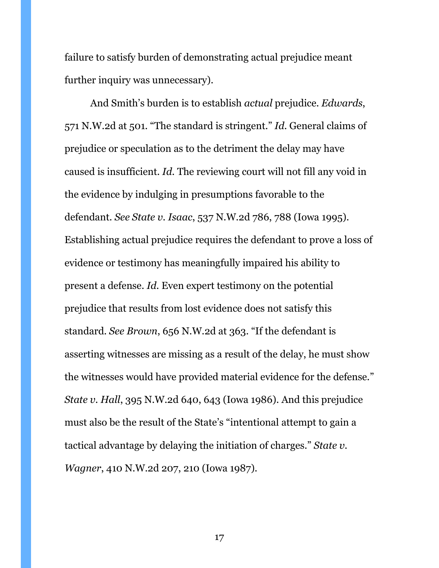failure to satisfy burden of demonstrating actual prejudice meant further inquiry was unnecessary).

And Smith's burden is to establish *actual* prejudice. *Edwards*, 571 N.W.2d at 501*.* "The standard is stringent." *Id.* General claims of prejudice or speculation as to the detriment the delay may have caused is insufficient. *Id.* The reviewing court will not fill any void in the evidence by indulging in presumptions favorable to the defendant. *See State v. Isaac*, 537 N.W.2d 786, 788 (Iowa 1995). Establishing actual prejudice requires the defendant to prove a loss of evidence or testimony has meaningfully impaired his ability to present a defense. *Id.* Even expert testimony on the potential prejudice that results from lost evidence does not satisfy this standard. *See Brown*, 656 N.W.2d at 363. "If the defendant is asserting witnesses are missing as a result of the delay, he must show the witnesses would have provided material evidence for the defense." *State v. Hall*, 395 N.W.2d 640, 643 (Iowa 1986). And this prejudice must also be the result of the State's "intentional attempt to gain a tactical advantage by delaying the initiation of charges." *State v. Wagner*, 410 N.W.2d 207, 210 (Iowa 1987).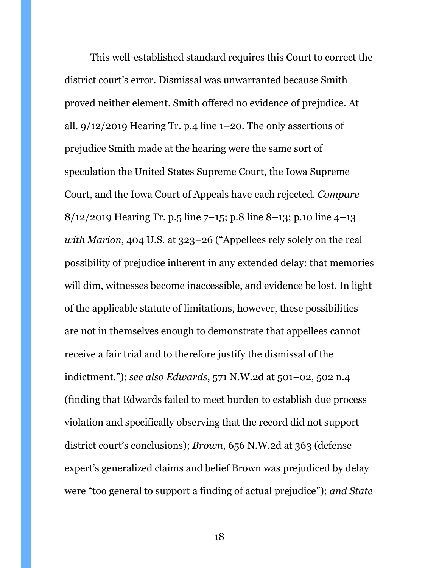This well-established standard requires this Court to correct the district court's error. Dismissal was unwarranted because Smith proved neither element. Smith offered no evidence of prejudice. At all. 9/12/2019 Hearing Tr. p.4 line 1–20. The only assertions of prejudice Smith made at the hearing were the same sort of speculation the United States Supreme Court, the Iowa Supreme Court, and the Iowa Court of Appeals have each rejected. *Compare*  8/12/2019 Hearing Tr. p.5 line 7–15; p.8 line 8–13; p.10 line 4–13 *with Marion*, 404 U.S. at 323–26 ("Appellees rely solely on the real possibility of prejudice inherent in any extended delay: that memories will dim, witnesses become inaccessible, and evidence be lost. In light of the applicable statute of limitations, however, these possibilities are not in themselves enough to demonstrate that appellees cannot receive a fair trial and to therefore justify the dismissal of the indictment."); *see also Edwards*, 571 N.W.2d at 501–02, 502 n.4 (finding that Edwards failed to meet burden to establish due process violation and specifically observing that the record did not support district court's conclusions); *Brown*, 656 N.W.2d at 363 (defense expert's generalized claims and belief Brown was prejudiced by delay were "too general to support a finding of actual prejudice"); *and State*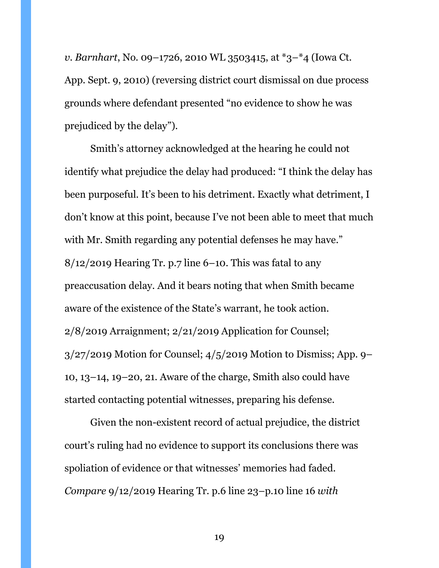*v. Barnhart*, No. 09–1726, 2010 WL 3503415, at \*3–\*4 (Iowa Ct. App. Sept. 9, 2010) (reversing district court dismissal on due process grounds where defendant presented "no evidence to show he was prejudiced by the delay").

Smith's attorney acknowledged at the hearing he could not identify what prejudice the delay had produced: "I think the delay has been purposeful. It's been to his detriment. Exactly what detriment, I don't know at this point, because I've not been able to meet that much with Mr. Smith regarding any potential defenses he may have."  $8/12/2019$  Hearing Tr. p.7 line 6–10. This was fatal to any preaccusation delay. And it bears noting that when Smith became aware of the existence of the State's warrant, he took action. 2/8/2019 Arraignment; 2/21/2019 Application for Counsel; 3/27/2019 Motion for Counsel; 4/5/2019 Motion to Dismiss; App. 9– 10, 13–14, 19–20, 21. Aware of the charge, Smith also could have started contacting potential witnesses, preparing his defense.

Given the non-existent record of actual prejudice, the district court's ruling had no evidence to support its conclusions there was spoliation of evidence or that witnesses' memories had faded. *Compare* 9/12/2019 Hearing Tr. p.6 line 23–p.10 line 16 *with*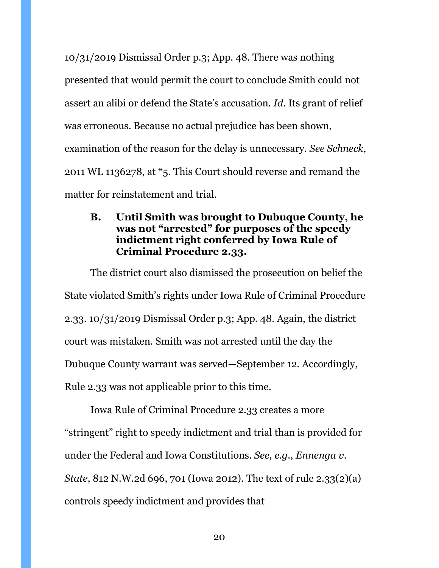10/31/2019 Dismissal Order p.3; App. 48. There was nothing presented that would permit the court to conclude Smith could not assert an alibi or defend the State's accusation. *Id*. Its grant of relief was erroneous. Because no actual prejudice has been shown, examination of the reason for the delay is unnecessary. *See Schneck*, 2011 WL 1136278, at \*5. This Court should reverse and remand the matter for reinstatement and trial.

# <span id="page-19-0"></span>**B. Until Smith was brought to Dubuque County, he was not "arrested" for purposes of the speedy indictment right conferred by Iowa Rule of Criminal Procedure 2.33.**

The district court also dismissed the prosecution on belief the State violated Smith's rights under Iowa Rule of Criminal Procedure 2.33. 10/31/2019 Dismissal Order p.3; App. 48. Again, the district court was mistaken. Smith was not arrested until the day the Dubuque County warrant was served—September 12. Accordingly, Rule 2.33 was not applicable prior to this time.

Iowa Rule of Criminal Procedure 2.33 creates a more "stringent" right to speedy indictment and trial than is provided for under the Federal and Iowa Constitutions. *See, e.g.*, *Ennenga v. State*, 812 N.W.2d 696, 701 (Iowa 2012). The text of rule 2.33(2)(a) controls speedy indictment and provides that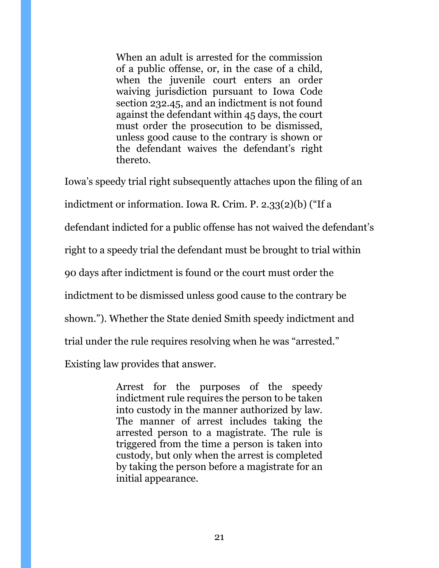When an adult is arrested for the commission of a public offense, or, in the case of a child, when the juvenile court enters an order waiving jurisdiction pursuant to [Iowa Code](https://1.next.westlaw.com/Link/Document/FullText?findType=L&pubNum=1000256&cite=IASTS232.45&originatingDoc=N111BD9501B1211DAB311FB76B2E4F553&refType=LQ&originationContext=document&transitionType=DocumentItem&contextData=(sc.Search))  [section 232.45,](https://1.next.westlaw.com/Link/Document/FullText?findType=L&pubNum=1000256&cite=IASTS232.45&originatingDoc=N111BD9501B1211DAB311FB76B2E4F553&refType=LQ&originationContext=document&transitionType=DocumentItem&contextData=(sc.Search)) and an indictment is not found against the defendant within 45 days, the court must order the prosecution to be dismissed, unless good cause to the contrary is shown or the defendant waives the defendant's right thereto.

Iowa's speedy trial right subsequently attaches upon the filing of an

indictment or information. Iowa R. Crim. P. 2.33(2)(b) ("If a

defendant indicted for a public offense has not waived the defendant's

right to a speedy trial the defendant must be brought to trial within

90 days after indictment is found or the court must order the

indictment to be dismissed unless good cause to the contrary be

shown."). Whether the State denied Smith speedy indictment and

trial under the rule requires resolving when he was "arrested."

Existing law provides that answer.

Arrest for the purposes of the speedy indictment rule requires the person to be taken into custody in the manner authorized by law. The manner of arrest includes taking the arrested person to a magistrate. The rule is triggered from the time a person is taken into custody, but only when the arrest is completed by taking the person before a magistrate for an initial appearance.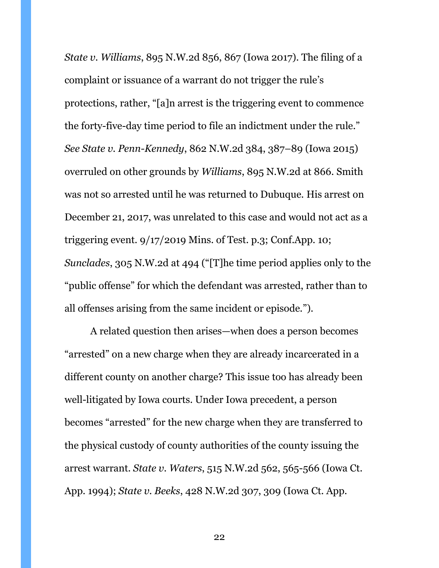*State v. Williams*, 895 N.W.2d 856, 867 (Iowa 2017). The filing of a complaint or issuance of a warrant do not trigger the rule's protections, rather, "[a]n arrest is the triggering event to commence the forty-five-day time period to file an indictment under the rule." *See State v. Penn-Kennedy*, 862 N.W.2d 384, 387–89 (Iowa 2015) overruled on other grounds by *Williams*, 895 N.W.2d at 866. Smith was not so arrested until he was returned to Dubuque. His arrest on December 21, 2017, was unrelated to this case and would not act as a triggering event. 9/17/2019 Mins. of Test. p.3; Conf.App. 10; *Sunclades*, 305 N.W.2d at 494 ("[T]he time period applies only to the "public offense" for which the defendant was arrested, rather than to all offenses arising from the same incident or episode.").

A related question then arises—when does a person becomes "arrested" on a new charge when they are already incarcerated in a different county on another charge? This issue too has already been well-litigated by Iowa courts. Under Iowa precedent, a person becomes "arrested" for the new charge when they are transferred to the physical custody of county authorities of the county issuing the arrest warrant. *State v. Waters*, 515 N.W.2d 562, 565-566 (Iowa Ct. App. 1994); *State v. Beeks*, 428 N.W.2d 307, 309 (Iowa Ct. App.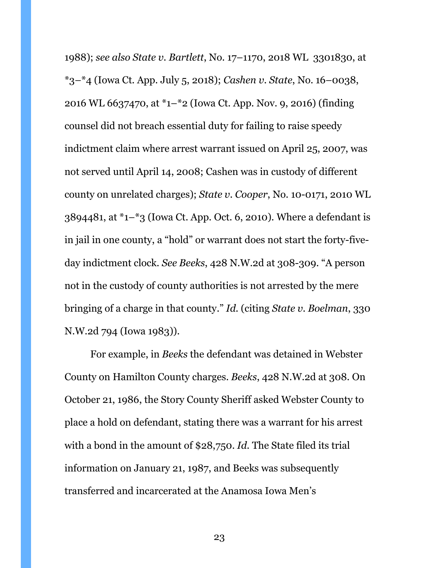1988); *see also State v. Bartlett*, No. 17–1170, 2018 WL 3301830, at \*3–\*4 (Iowa Ct. App. July 5, 2018); *Cashen v. State*, No. 16–0038, 2016 WL 6637470, at \*1–\*2 (Iowa Ct. App. Nov. 9, 2016) (finding counsel did not breach essential duty for failing to raise speedy indictment claim where arrest warrant issued on April 25, 2007, was not served until April 14, 2008; Cashen was in custody of different county on unrelated charges); *State v. Cooper*, No. 10-0171, 2010 WL  $3894481$ , at  $1-\frac{1}{3}$  (Iowa Ct. App. Oct. 6, 2010). Where a defendant is in jail in one county, a "hold" or warrant does not start the forty-fiveday indictment clock. *See Beeks*, 428 N.W.2d at 308-309. "A person not in the custody of county authorities is not arrested by the mere bringing of a charge in that county." *Id.* (citing *State v. Boelman*, 330 N.W.2d 794 (Iowa 1983)).

For example, in *Beeks* the defendant was detained in Webster County on Hamilton County charges. *Beeks*, 428 N.W.2d at 308. On October 21, 1986, the Story County Sheriff asked Webster County to place a hold on defendant, stating there was a warrant for his arrest with a bond in the amount of \$28,750. *Id.* The State filed its trial information on January 21, 1987, and Beeks was subsequently transferred and incarcerated at the Anamosa Iowa Men's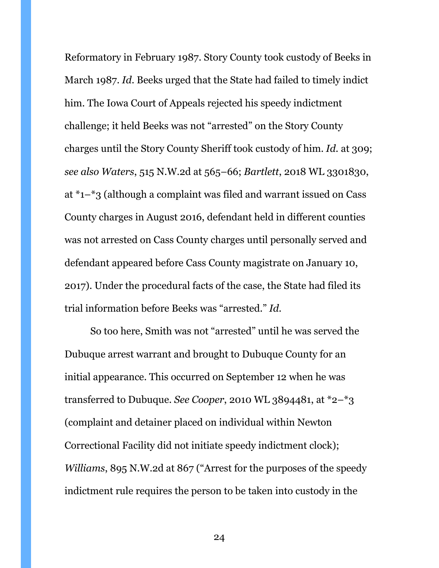Reformatory in February 1987. Story County took custody of Beeks in March 1987. *Id.* Beeks urged that the State had failed to timely indict him. The Iowa Court of Appeals rejected his speedy indictment challenge; it held Beeks was not "arrested" on the Story County charges until the Story County Sheriff took custody of him. *Id.* at 309; *see also Waters*, 515 N.W.2d at 565–66; *Bartlett*, 2018 WL 3301830, at \*1–\*3 (although a complaint was filed and warrant issued on Cass County charges in August 2016, defendant held in different counties was not arrested on Cass County charges until personally served and defendant appeared before Cass County magistrate on January 10, 2017). Under the procedural facts of the case, the State had filed its trial information before Beeks was "arrested." *Id.*

So too here, Smith was not "arrested" until he was served the Dubuque arrest warrant and brought to Dubuque County for an initial appearance. This occurred on September 12 when he was transferred to Dubuque. *See Cooper*, 2010 WL 3894481, at \*2–\*3 (complaint and detainer placed on individual within Newton Correctional Facility did not initiate speedy indictment clock); *Williams*, 895 N.W.2d at 867 ("Arrest for the purposes of the speedy indictment rule requires the person to be taken into custody in the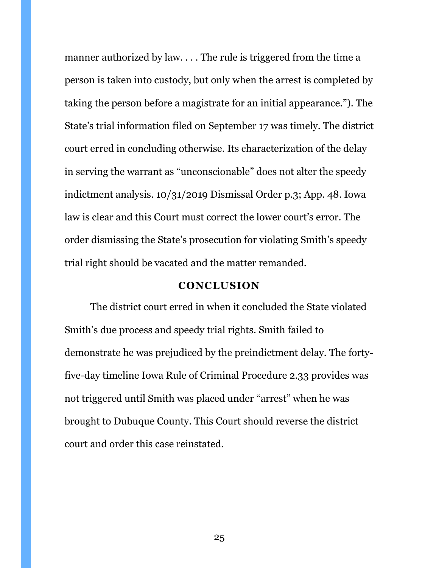manner authorized by law. . . . The rule is triggered from the time a person is taken into custody, but only when the arrest is completed by taking the person before a magistrate for an initial appearance."). The State's trial information filed on September 17 was timely. The district court erred in concluding otherwise. Its characterization of the delay in serving the warrant as "unconscionable" does not alter the speedy indictment analysis. 10/31/2019 Dismissal Order p.3; App. 48. Iowa law is clear and this Court must correct the lower court's error. The order dismissing the State's prosecution for violating Smith's speedy trial right should be vacated and the matter remanded.

#### **CONCLUSION**

<span id="page-24-0"></span>The district court erred in when it concluded the State violated Smith's due process and speedy trial rights. Smith failed to demonstrate he was prejudiced by the preindictment delay. The fortyfive-day timeline Iowa Rule of Criminal Procedure 2.33 provides was not triggered until Smith was placed under "arrest" when he was brought to Dubuque County. This Court should reverse the district court and order this case reinstated.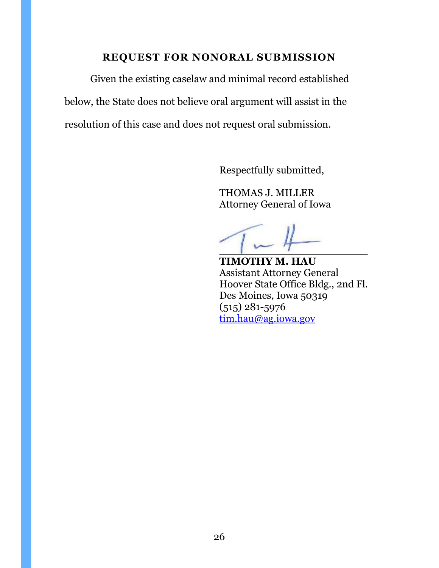## **REQUEST FOR NONORAL SUBMISSION**

<span id="page-25-0"></span>Given the existing caselaw and minimal record established below, the State does not believe oral argument will assist in the resolution of this case and does not request oral submission.

Respectfully submitted,

THOMAS J. MILLER Attorney General of Iowa

 $\sim$ 

**TIMOTHY M. HAU** Assistant Attorney General Hoover State Office Bldg., 2nd Fl. Des Moines, Iowa 50319 (515) 281-5976 [tim.hau@ag.iowa.gov](mailto:tim.hau@ag.iowa.gov)